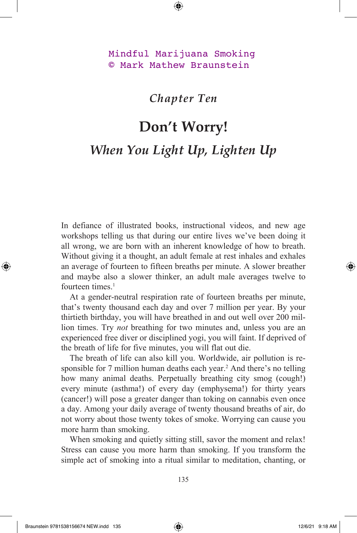## Mindful Marijuana Smoking © Mark Mathew Braunstein

*Chapter Ten*

## **Don't Worry!** *When You Light Up, Lighten Up*

In defiance of illustrated books, instructional videos, and new age workshops telling us that during our entire lives we've been doing it all wrong, we are born with an inherent knowledge of how to breath. Without giving it a thought, an adult female at rest inhales and exhales an average of fourteen to fifteen breaths per minute. A slower breather and maybe also a slower thinker, an adult male averages twelve to fourteen times $<sup>1</sup>$ </sup>

At a gender-neutral respiration rate of fourteen breaths per minute, that's twenty thousand each day and over 7 million per year. By your thirtieth birthday, you will have breathed in and out well over 200 million times. Try *not* breathing for two minutes and, unless you are an experienced free diver or disciplined yogi, you will faint. If deprived of the breath of life for five minutes, you will flat out die.

The breath of life can also kill you. Worldwide, air pollution is responsible for 7 million human deaths each year.<sup>2</sup> And there's no telling how many animal deaths. Perpetually breathing city smog (cough!) every minute (asthma!) of every day (emphysema!) for thirty years (cancer!) will pose a greater danger than toking on cannabis even once a day. Among your daily average of twenty thousand breaths of air, do not worry about those twenty tokes of smoke. Worrying can cause you more harm than smoking.

When smoking and quietly sitting still, savor the moment and relax! Stress can cause you more harm than smoking. If you transform the simple act of smoking into a ritual similar to meditation, chanting, or